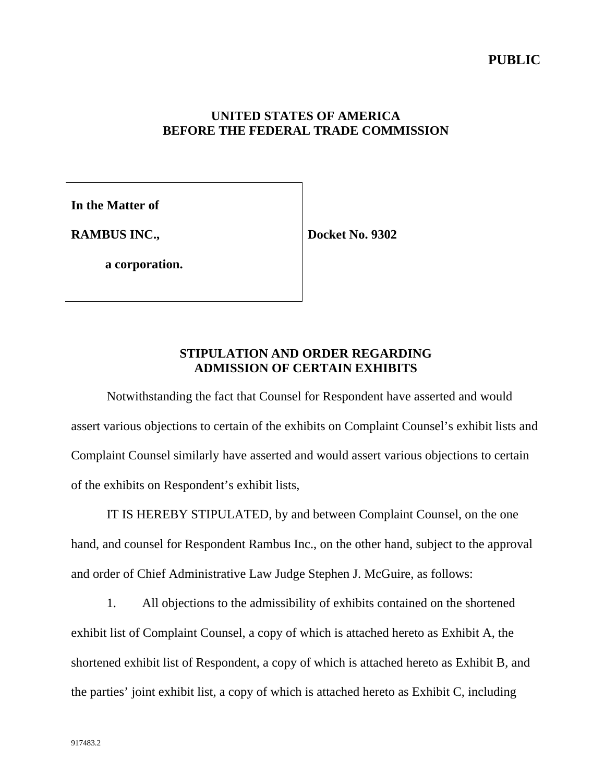#### **UNITED STATES OF AMERICA BEFORE THE FEDERAL TRADE COMMISSION**

**In the Matter of**

**RAMBUS INC.,**

**Docket No. 9302**

**a corporation.**

## **STIPULATION AND ORDER REGARDING ADMISSION OF CERTAIN EXHIBITS**

Notwithstanding the fact that Counsel for Respondent have asserted and would assert various objections to certain of the exhibits on Complaint Counsel's exhibit lists and Complaint Counsel similarly have asserted and would assert various objections to certain of the exhibits on Respondent's exhibit lists,

IT IS HEREBY STIPULATED, by and between Complaint Counsel, on the one hand, and counsel for Respondent Rambus Inc., on the other hand, subject to the approval and order of Chief Administrative Law Judge Stephen J. McGuire, as follows:

1. All objections to the admissibility of exhibits contained on the shortened exhibit list of Complaint Counsel, a copy of which is attached hereto as Exhibit A, the shortened exhibit list of Respondent, a copy of which is attached hereto as Exhibit B, and the parties' joint exhibit list, a copy of which is attached hereto as Exhibit C, including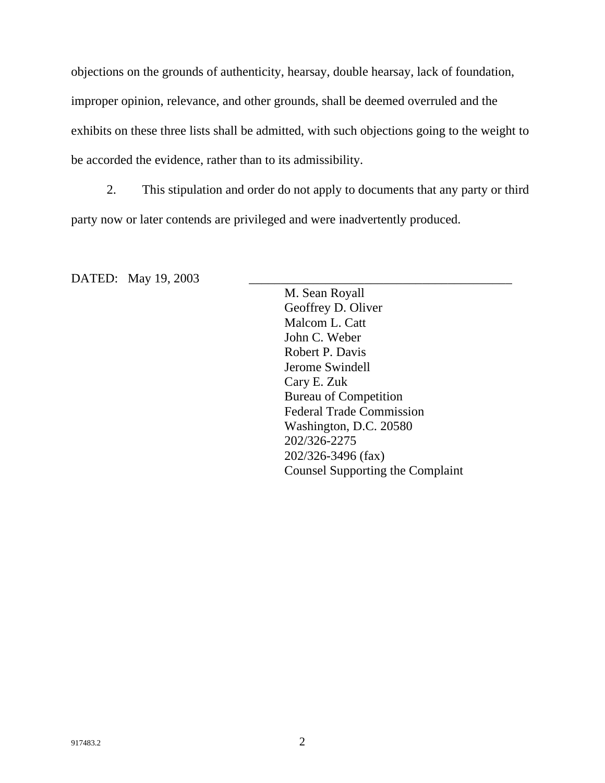objections on the grounds of authenticity, hearsay, double hearsay, lack of foundation, improper opinion, relevance, and other grounds, shall be deemed overruled and the exhibits on these three lists shall be admitted, with such objections going to the weight to be accorded the evidence, rather than to its admissibility.

2. This stipulation and order do not apply to documents that any party or third party now or later contends are privileged and were inadvertently produced.

DATED: May 19, 2003

M. Sean Royall Geoffrey D. Oliver Malcom L. Catt John C. Weber Robert P. Davis Jerome Swindell Cary E. Zuk Bureau of Competition Federal Trade Commission Washington, D.C. 20580 202/326-2275 202/326-3496 (fax) Counsel Supporting the Complaint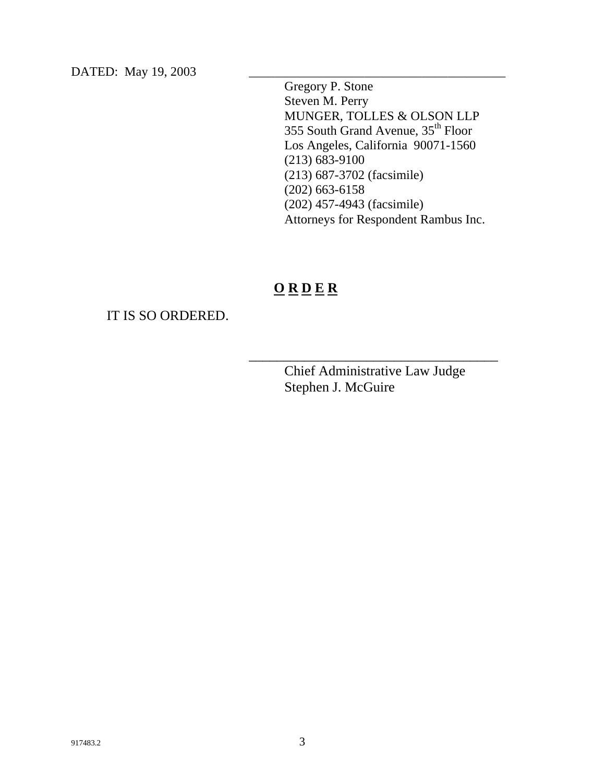DATED: May 19, 2003

Gregory P. Stone Steven M. Perry MUNGER, TOLLES & OLSON LLP 355 South Grand Avenue, 35th Floor Los Angeles, California 90071-1560 (213) 683-9100 (213) 687-3702 (facsimile) (202) 663-6158 (202) 457-4943 (facsimile) Attorneys for Respondent Rambus Inc.

# **O R D E R**

#### IT IS SO ORDERED.

Chief Administrative Law Judge Stephen J. McGuire

\_\_\_\_\_\_\_\_\_\_\_\_\_\_\_\_\_\_\_\_\_\_\_\_\_\_\_\_\_\_\_\_\_\_\_\_